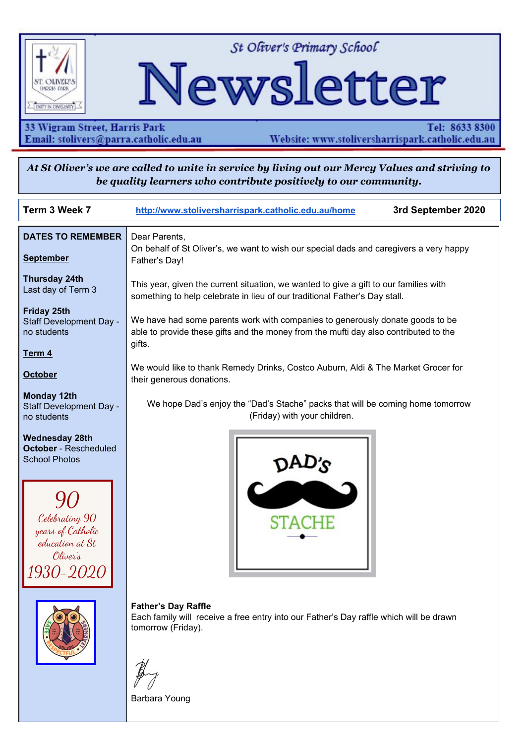

St Oliver's Primary School

# Newsletter

33 Wigram Street, Harris Park Email: stolivers@parra.catholic.edu.au

Tel: 8633 8300 Website: www.stoliversharrispark.catholic.edu.au

At St Oliver's we are called to unite in service by living out our Mercy Values and striving to be quality learners who contribute positively to our community.

| Term 3 Week 7                                                                                                                                       | 3rd September 2020<br>http://www.stoliversharrispark.catholic.edu.au/home                                                                                                       |
|-----------------------------------------------------------------------------------------------------------------------------------------------------|---------------------------------------------------------------------------------------------------------------------------------------------------------------------------------|
| <b>DATES TO REMEMBER</b><br><b>September</b>                                                                                                        | Dear Parents,<br>On behalf of St Oliver's, we want to wish our special dads and caregivers a very happy<br>Father's Day!                                                        |
| <b>Thursday 24th</b><br>Last day of Term 3                                                                                                          | This year, given the current situation, we wanted to give a gift to our families with<br>something to help celebrate in lieu of our traditional Father's Day stall.             |
| <b>Friday 25th</b><br>Staff Development Day -<br>no students                                                                                        | We have had some parents work with companies to generously donate goods to be<br>able to provide these gifts and the money from the mufti day also contributed to the<br>gifts. |
| Term 4<br><b>October</b>                                                                                                                            | We would like to thank Remedy Drinks, Costco Auburn, Aldi & The Market Grocer for<br>their generous donations.                                                                  |
| <b>Monday 12th</b><br>Staff Development Day -<br>no students                                                                                        | We hope Dad's enjoy the "Dad's Stache" packs that will be coming home tomorrow<br>(Friday) with your children.                                                                  |
| <b>Wednesday 28th</b><br><b>October</b> - Rescheduled<br><b>School Photos</b><br>Celebrating 90<br>years of Catholic<br>education at St<br>Oliver's |                                                                                                                                                                                 |
|                                                                                                                                                     | <b>Father's Day Raffle</b><br>Each family will receive a free entry into our Father's Day raffle which will be drawn<br>tomorrow (Friday).<br>Barbara Young                     |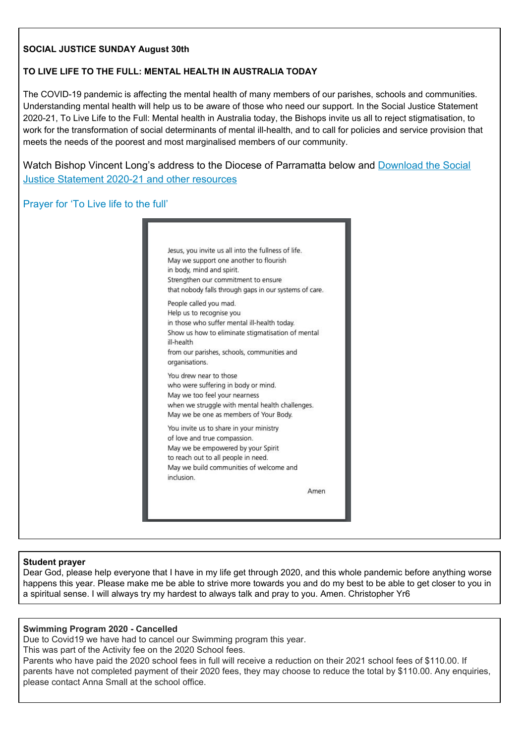## **SOCIAL JUSTICE SUNDAY August 30th**

## **TO LIVE LIFE TO THE FULL: MENTAL HEALTH IN AUSTRALIA TODAY**

The COVID-19 pandemic is affecting the mental health of many members of our parishes, schools and communities. Understanding mental health will help us to be aware of those who need our support. In the Social Justice Statement 2020-21, To Live Life to the Full: Mental health in Australia today, the Bishops invite us all to reject stigmatisation, to work for the transformation of social determinants of mental ill-health, and to call for policies and service provision that meets the needs of the poorest and most marginalised members of our community.

Watch Bishop Vincent Long's address to the Diocese of Parramatta below and [Download](https://socialjustice.catholic.org.au/2020/07/03/social-justice-statement-2020-21/) the Social Justice [Statement](https://socialjustice.catholic.org.au/2020/07/03/social-justice-statement-2020-21/) 2020-21 and other resources

## Prayer for 'To Live life to the full'

| in body, mind and spirit.                                                          | Jesus, you invite us all into the fullness of life.<br>May we support one another to flourish<br>Strengthen our commitment to ensure<br>that nobody falls through gaps in our systems of care. |
|------------------------------------------------------------------------------------|------------------------------------------------------------------------------------------------------------------------------------------------------------------------------------------------|
| People called you mad.<br>Help us to recognise you<br>ill-health<br>organisations. | in those who suffer mental ill-health today.<br>Show us how to eliminate stigmatisation of mental<br>from our parishes, schools, communities and                                               |
| You drew near to those<br>May we too feel your nearness                            | who were suffering in body or mind.<br>when we struggle with mental health challenges.<br>May we be one as members of Your Body.                                                               |
| of love and true compassion.<br>to reach out to all people in need.<br>inclusion.  | You invite us to share in your ministry<br>May we be empowered by your Spirit<br>May we build communities of welcome and                                                                       |
|                                                                                    | Amen                                                                                                                                                                                           |

#### **Student prayer**

Dear God, please help everyone that I have in my life get through 2020, and this whole pandemic before anything worse happens this year. Please make me be able to strive more towards you and do my best to be able to get closer to you in a spiritual sense. I will always try my hardest to always talk and pray to you. Amen. Christopher Yr6

#### **Swimming Program 2020 - Cancelled**

Due to Covid19 we have had to cancel our Swimming program this year.

This was part of the Activity fee on the 2020 School fees.

Parents who have paid the 2020 school fees in full will receive a reduction on their 2021 school fees of \$110.00. If parents have not completed payment of their 2020 fees, they may choose to reduce the total by \$110.00. Any enquiries, please contact Anna Small at the school office.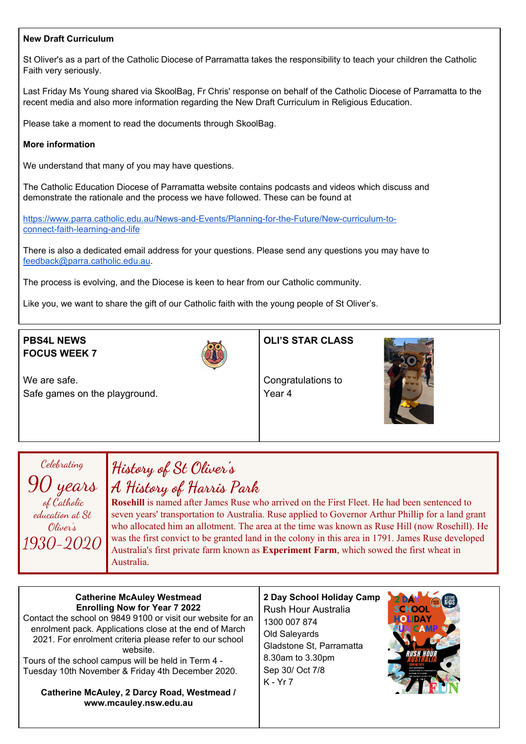#### **New Draft Curriculum**

St Oliver's as a part of the Catholic Diocese of Parramatta takes the responsibility to teach your children the Catholic Faith very seriously.

Last Friday Ms Young shared via SkoolBag, Fr Chris' response on behalf of the Catholic Diocese of Parramatta to the recent media and also more information regarding the New Draft Curriculum in Religious Education.

Please take a moment to read the documents through SkoolBag.

#### **More information**

We understand that many of you may have questions.

The Catholic Education Diocese of Parramatta website contains podcasts and videos which discuss and demonstrate the rationale and the process we have followed. These can be found at

[https://www.parra.catholic.edu.au/News-and-Events/Planning-for-the-Future/New-curriculum-to](https://www.parra.catholic.edu.au/News-and-Events/Planning-for-the-Future/New-curriculum-to-)[connect-faith-learning-and-life](https://www.parra.catholic.edu.au/News-and-Events/Planning-for-the-Future/New-curriculum-to-)

There is also a dedicated email address for your questions. Please send any questions you may have to [feedback@parra.catholic.edu.au](mailto:feedback@parra.catholic.edu.au).

The process is evolving, and the Diocese is keen to hear from our Catholic community.

Like you, we want to share the gift of our Catholic faith with the young people of St Oliver's.

## **PBS4L NEWS FOCUS WEEK 7**



**OLI'S STAR CLASS**

We are safe. Safe games on the playground.

Congratulations to Year 4



## Celebrating 90 years of Catholic education at St Oliver's 1930-2020

## **History of St Oliver's A History of Harris Park**

**Rosehill** is named after James Ruse who arrived on the First Fleet. He had been sentenced to seven years' transportation to Australia. Ruse applied to Governor Arthur Phillip for a land grant who allocated him an allotment. The area at the time was known as Ruse Hill (now Rosehill). He was the first convict to be granted land in the colony in this area in 1791. James Ruse developed Australia's first private farm known as **Experiment Farm**, which sowed the first wheat in Australia.

### **Catherine McAuley Westmead Enrolling Now for Year 7 2022**

Contact the school on 9849 9100 or visit our website for an enrolment pack. Applications close at the end of March 2021. For enrolment criteria please refer to our school website.

Tours of the school campus will be held in Term 4 - Tuesday 10th November & Friday 4th December 2020.

**Catherine McAuley, 2 Darcy Road, Westmead / www.mcauley.nsw.edu.au**

## **2 Day School Holiday Camp** Rush Hour Australia 1300 007 874 Old Saleyards Gladstone St, Parramatta 8.30am to 3.30pm Sep 30/ Oct 7/8 K - Yr 7